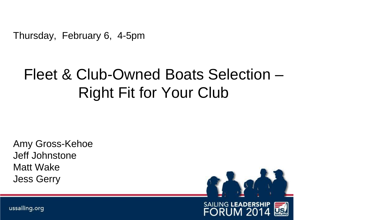Thursday, February 6, 4-5pm

# Fleet & Club-Owned Boats Selection – Right Fit for Your Club

Amy Gross-Kehoe Jeff Johnstone Matt Wake Jess Gerry



**SAILING LEADERSHIP FORUM 20**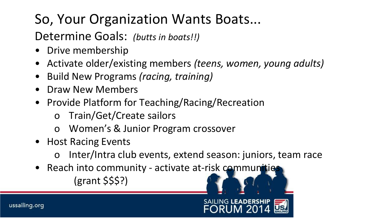## So, Your Organization Wants Boats...

Determine Goals: *(butts in boats!!)*

- Drive membership
- Activate older/existing members *(teens, women, young adults)*
- Build New Programs *(racing, training)*
- Draw New Members
- Provide Platform for Teaching/Racing/Recreation
	- o Train/Get/Create sailors
	- o Women's & Junior Program crossover
- Host Racing Events
	- o Inter/Intra club events, extend season: juniors, team race

**SAILING LEADERSHIP** 

• Reach into community - activate at-risk communities (grant \$\$\$?)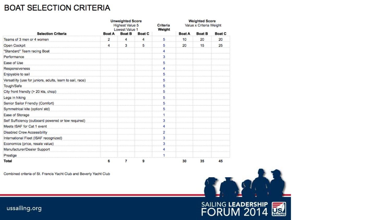#### **BOAT SELECTION CRITERIA**

| <b>Selection Criteria</b>                                  | <b>Unweighted Score</b><br>Highest Value 5<br>Lowest Value 1 |               |               | Criteria<br>Weight | <b>Weighted Score</b><br>Value x Criteria Weight |               |               |
|------------------------------------------------------------|--------------------------------------------------------------|---------------|---------------|--------------------|--------------------------------------------------|---------------|---------------|
|                                                            | <b>Boat A</b>                                                | <b>Boat B</b> | <b>Boat C</b> |                    | <b>Boat A</b>                                    | <b>Boat B</b> | <b>Boat C</b> |
| Teams of 3 men or 4 women                                  | 2                                                            | 4             | 4             | 5                  | 10                                               | 20            | 20            |
| Open Cockpit                                               | 4                                                            | з             | 5             | 5                  | 20                                               | 15            | 25            |
| "Standard" Team racing Boat                                |                                                              |               |               | 4                  |                                                  |               |               |
| Performance                                                |                                                              |               |               | 3                  |                                                  |               |               |
| Ease of Use                                                |                                                              |               |               | 5                  |                                                  |               |               |
| Responsiveness                                             |                                                              |               |               | 4                  |                                                  |               |               |
| Enjoyable to sail                                          |                                                              |               |               | 5                  |                                                  |               |               |
| Versatility (use for juniors, adults, learn to sail, race) |                                                              |               |               | 5                  |                                                  |               |               |
| Tough/Safe                                                 |                                                              |               |               | 5                  |                                                  |               |               |
| City front friendly (> 20 kts, chop)                       |                                                              |               |               | 5                  |                                                  |               |               |
| Legs in hiking                                             |                                                              |               |               | 5                  |                                                  |               |               |
| Senior Sailor Friendly (Comfort)                           |                                                              |               |               | 5                  |                                                  |               |               |
| Symmetrical kite (option/ std)                             |                                                              |               |               | 5                  |                                                  |               |               |
| Ease of Storage                                            |                                                              |               |               | 1                  |                                                  |               |               |
| Self Sufficiency (outboard powered or tow required)        |                                                              |               |               | з                  |                                                  |               |               |
| Meets ISAF for Cat 1 event                                 |                                                              |               |               | 4                  |                                                  |               |               |
| <b>Disabled Crew Accessibility</b>                         |                                                              |               |               | 2                  |                                                  |               |               |
| International Fleet (ISAF recognized)                      |                                                              |               |               | з                  |                                                  |               |               |
| Economics (price, resale value)                            |                                                              |               |               | з                  |                                                  |               |               |
| Manufacturer/Dealer Support                                |                                                              |               |               | 4                  |                                                  |               |               |
| Prestige                                                   |                                                              |               |               | 1                  |                                                  |               |               |
| <b>Total</b>                                               | 6                                                            | 7             | 9             |                    | 30                                               | 35            | 45            |

Combined criteria of St. Francis Yacht Club and Beverly Yacht Club



SAILING LEADERSHIP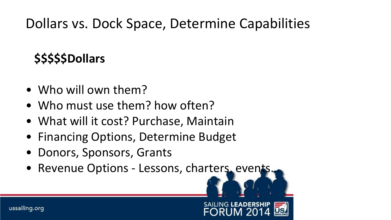## Dollars vs. Dock Space, Determine Capabilities

## **\$\$\$\$\$Dollars**

- Who will own them?
- Who must use them? how often?
- What will it cost? Purchase, Maintain
- Financing Options, Determine Budget
- Donors, Sponsors, Grants
- Revenue Options Lessons, charters, events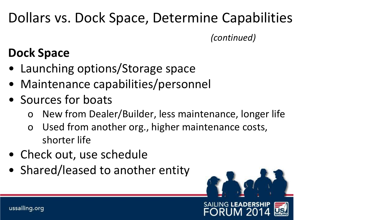## Dollars vs. Dock Space, Determine Capabilities

*(continued)*

### **Dock Space**

- Launching options/Storage space
- Maintenance capabilities/personnel
- Sources for boats
	- o New from Dealer/Builder, less maintenance, longer life
	- o Used from another org., higher maintenance costs, shorter life
- Check out, use schedule
- Shared/leased to another entity

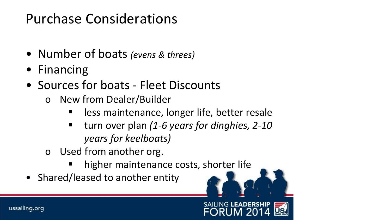## Purchase Considerations

- Number of boats *(evens & threes)*
- Financing
- Sources for boats Fleet Discounts
	- o New from Dealer/Builder
		- less maintenance, longer life, better resale
		- turn over plan (1-6 years for dinghies, 2-10 *years for keelboats)*
	- o Used from another org.
		- higher maintenance costs, shorter life
- Shared/leased to another entity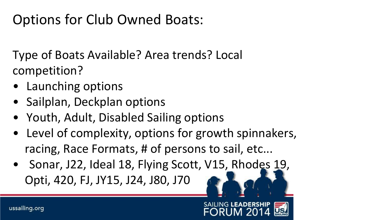## Options for Club Owned Boats:

Type of Boats Available? Area trends? Local competition?

- Launching options
- Sailplan, Deckplan options
- Youth, Adult, Disabled Sailing options
- Level of complexity, options for growth spinnakers, racing, Race Formats, # of persons to sail, etc...
- Sonar, J22, Ideal 18, Flying Scott, V15, Rhodes 19, Opti, 420, FJ, JY15, J24, J80, J70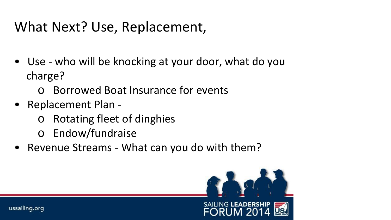## What Next? Use, Replacement,

- Use who will be knocking at your door, what do you charge?
	- o Borrowed Boat Insurance for events
- Replacement Plan
	- o Rotating fleet of dinghies
	- o Endow/fundraise
- Revenue Streams What can you do with them?

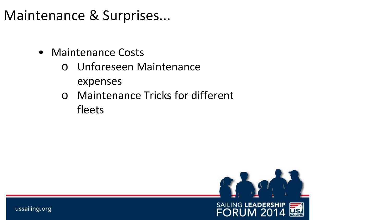## Maintenance & Surprises...

- Maintenance Costs
	- o Unforeseen Maintenance expenses
	- o Maintenance Tricks for different fleets

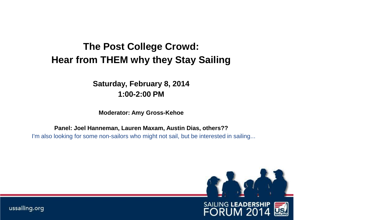#### **The Post College Crowd: Hear from THEM why they Stay Sailing**

**Saturday, February 8, 2014 1:00-2:00 PM**

**Moderator: Amy Gross-Kehoe**

**Panel: Joel Hanneman, Lauren Maxam, Austin Dias, others??**

I'm also looking for some non-sailors who might not sail, but be interested in sailing...



**SAILING LEADERSHI** F ١R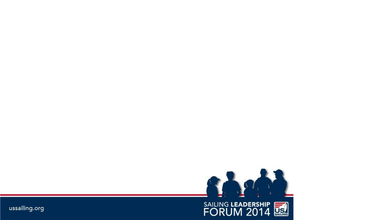